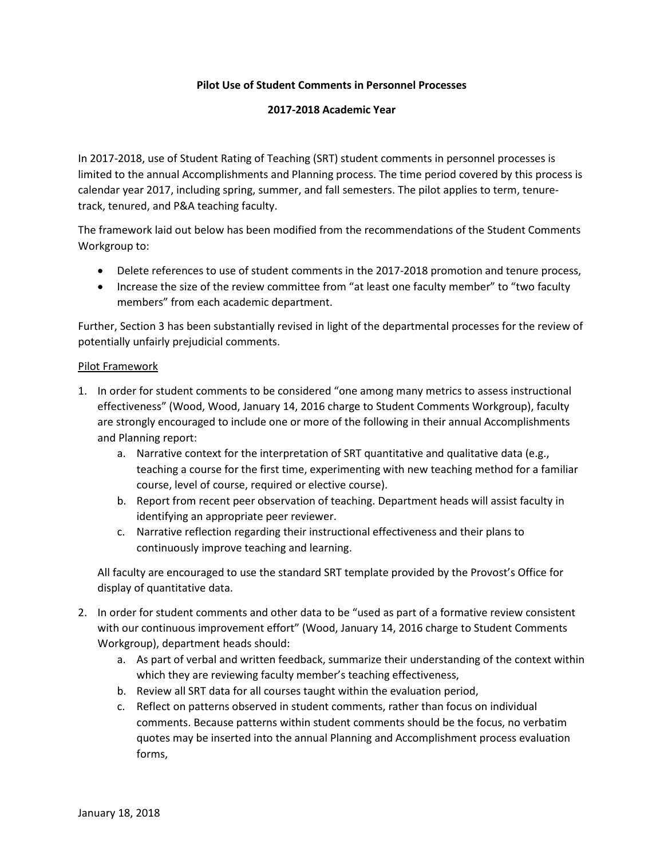## **Pilot Use of Student Comments in Personnel Processes**

## **2017-2018 Academic Year**

In 2017-2018, use of Student Rating of Teaching (SRT) student comments in personnel processes is limited to the annual Accomplishments and Planning process. The time period covered by this process is calendar year 2017, including spring, summer, and fall semesters. The pilot applies to term, tenuretrack, tenured, and P&A teaching faculty.

The framework laid out below has been modified from the recommendations of the Student Comments Workgroup to:

- Delete references to use of student comments in the 2017-2018 promotion and tenure process,
- Increase the size of the review committee from "at least one faculty member" to "two faculty members" from each academic department.

Further, Section 3 has been substantially revised in light of the departmental processes for the review of potentially unfairly prejudicial comments.

## Pilot Framework

- 1. In order for student comments to be considered "one among many metrics to assess instructional effectiveness" (Wood, Wood, January 14, 2016 charge to Student Comments Workgroup), faculty are strongly encouraged to include one or more of the following in their annual Accomplishments and Planning report:
	- a. Narrative context for the interpretation of SRT quantitative and qualitative data (e.g., teaching a course for the first time, experimenting with new teaching method for a familiar course, level of course, required or elective course).
	- b. Report from recent peer observation of teaching. Department heads will assist faculty in identifying an appropriate peer reviewer.
	- c. Narrative reflection regarding their instructional effectiveness and their plans to continuously improve teaching and learning.

All faculty are encouraged to use the standard SRT template provided by the Provost's Office for display of quantitative data.

- 2. In order for student comments and other data to be "used as part of a formative review consistent with our continuous improvement effort" (Wood, January 14, 2016 charge to Student Comments Workgroup), department heads should:
	- a. As part of verbal and written feedback, summarize their understanding of the context within which they are reviewing faculty member's teaching effectiveness,
	- b. Review all SRT data for all courses taught within the evaluation period,
	- c. Reflect on patterns observed in student comments, rather than focus on individual comments. Because patterns within student comments should be the focus, no verbatim quotes may be inserted into the annual Planning and Accomplishment process evaluation forms,